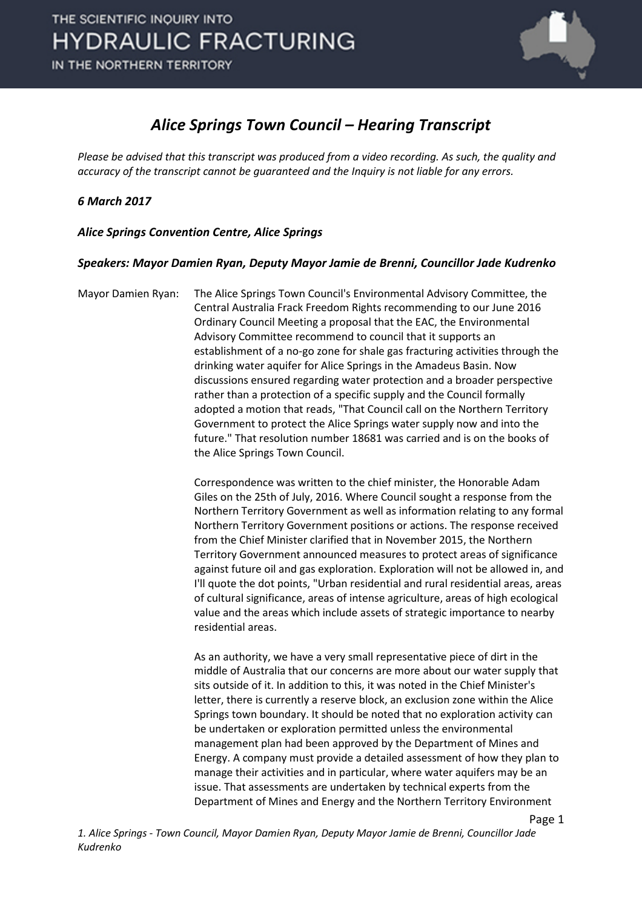

## *Alice Springs Town Council – Hearing Transcript*

*Please be advised that this transcript was produced from a video recording. As such, the quality and accuracy of the transcript cannot be guaranteed and the Inquiry is not liable for any errors.*

## *6 March 2017*

*Alice Springs Convention Centre, Alice Springs* 

## *Speakers: Mayor Damien Ryan, Deputy Mayor Jamie de Brenni, Councillor Jade Kudrenko*

Mayor Damien Ryan: The Alice Springs Town Council's Environmental Advisory Committee, the Central Australia Frack Freedom Rights recommending to our June 2016 Ordinary Council Meeting a proposal that the EAC, the Environmental Advisory Committee recommend to council that it supports an establishment of a no-go zone for shale gas fracturing activities through the drinking water aquifer for Alice Springs in the Amadeus Basin. Now discussions ensured regarding water protection and a broader perspective rather than a protection of a specific supply and the Council formally adopted a motion that reads, "That Council call on the Northern Territory Government to protect the Alice Springs water supply now and into the future." That resolution number 18681 was carried and is on the books of the Alice Springs Town Council.

> Correspondence was written to the chief minister, the Honorable Adam Giles on the 25th of July, 2016. Where Council sought a response from the Northern Territory Government as well as information relating to any formal Northern Territory Government positions or actions. The response received from the Chief Minister clarified that in November 2015, the Northern Territory Government announced measures to protect areas of significance against future oil and gas exploration. Exploration will not be allowed in, and I'll quote the dot points, "Urban residential and rural residential areas, areas of cultural significance, areas of intense agriculture, areas of high ecological value and the areas which include assets of strategic importance to nearby residential areas.

As an authority, we have a very small representative piece of dirt in the middle of Australia that our concerns are more about our water supply that sits outside of it. In addition to this, it was noted in the Chief Minister's letter, there is currently a reserve block, an exclusion zone within the Alice Springs town boundary. It should be noted that no exploration activity can be undertaken or exploration permitted unless the environmental management plan had been approved by the Department of Mines and Energy. A company must provide a detailed assessment of how they plan to manage their activities and in particular, where water aquifers may be an issue. That assessments are undertaken by technical experts from the Department of Mines and Energy and the Northern Territory Environment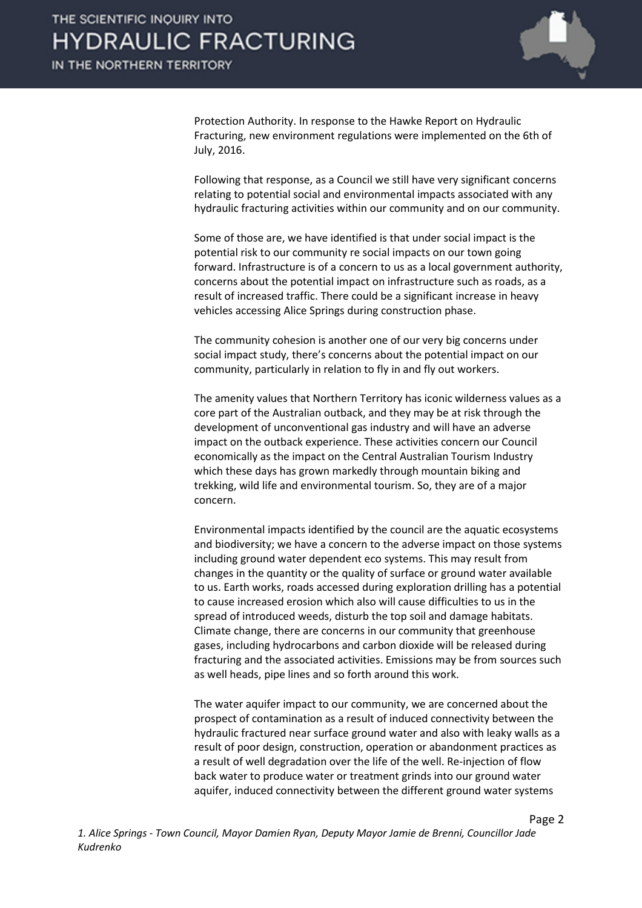

Protection Authority. In response to the Hawke Report on Hydraulic Fracturing, new environment regulations were implemented on the 6th of July, 2016.

Following that response, as a Council we still have very significant concerns relating to potential social and environmental impacts associated with any hydraulic fracturing activities within our community and on our community.

Some of those are, we have identified is that under social impact is the potential risk to our community re social impacts on our town going forward. Infrastructure is of a concern to us as a local government authority, concerns about the potential impact on infrastructure such as roads, as a result of increased traffic. There could be a significant increase in heavy vehicles accessing Alice Springs during construction phase.

The community cohesion is another one of our very big concerns under social impact study, there's concerns about the potential impact on our community, particularly in relation to fly in and fly out workers.

The amenity values that Northern Territory has iconic wilderness values as a core part of the Australian outback, and they may be at risk through the development of unconventional gas industry and will have an adverse impact on the outback experience. These activities concern our Council economically as the impact on the Central Australian Tourism Industry which these days has grown markedly through mountain biking and trekking, wild life and environmental tourism. So, they are of a major concern.

Environmental impacts identified by the council are the aquatic ecosystems and biodiversity; we have a concern to the adverse impact on those systems including ground water dependent eco systems. This may result from changes in the quantity or the quality of surface or ground water available to us. Earth works, roads accessed during exploration drilling has a potential to cause increased erosion which also will cause difficulties to us in the spread of introduced weeds, disturb the top soil and damage habitats. Climate change, there are concerns in our community that greenhouse gases, including hydrocarbons and carbon dioxide will be released during fracturing and the associated activities. Emissions may be from sources such as well heads, pipe lines and so forth around this work.

The water aquifer impact to our community, we are concerned about the prospect of contamination as a result of induced connectivity between the hydraulic fractured near surface ground water and also with leaky walls as a result of poor design, construction, operation or abandonment practices as a result of well degradation over the life of the well. Re-injection of flow back water to produce water or treatment grinds into our ground water aquifer, induced connectivity between the different ground water systems

Page 2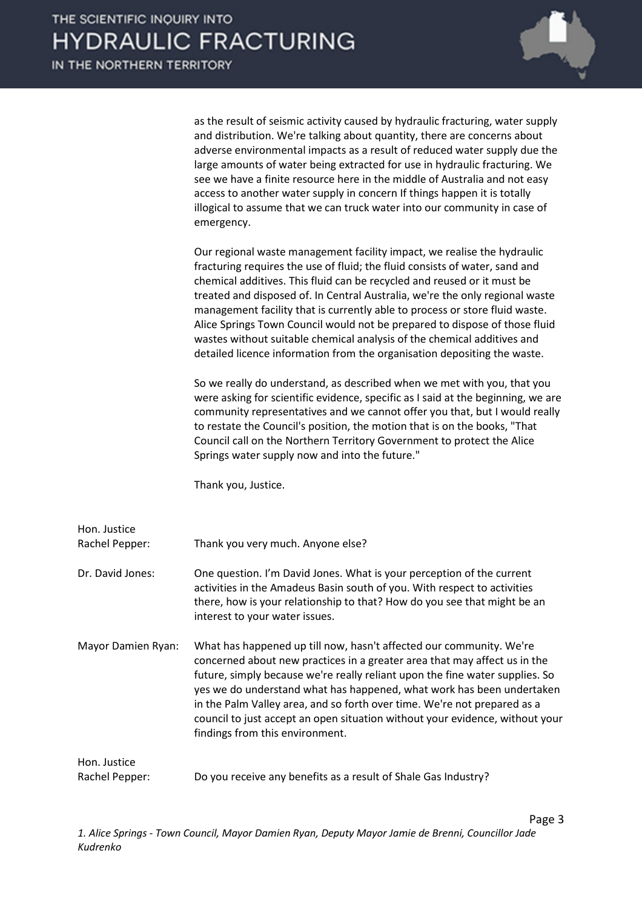

as the result of seismic activity caused by hydraulic fracturing, water supply and distribution. We're talking about quantity, there are concerns about adverse environmental impacts as a result of reduced water supply due the large amounts of water being extracted for use in hydraulic fracturing. We see we have a finite resource here in the middle of Australia and not easy access to another water supply in concern If things happen it is totally illogical to assume that we can truck water into our community in case of emergency.

Our regional waste management facility impact, we realise the hydraulic fracturing requires the use of fluid; the fluid consists of water, sand and chemical additives. This fluid can be recycled and reused or it must be treated and disposed of. In Central Australia, we're the only regional waste management facility that is currently able to process or store fluid waste. Alice Springs Town Council would not be prepared to dispose of those fluid wastes without suitable chemical analysis of the chemical additives and detailed licence information from the organisation depositing the waste.

So we really do understand, as described when we met with you, that you were asking for scientific evidence, specific as I said at the beginning, we are community representatives and we cannot offer you that, but I would really to restate the Council's position, the motion that is on the books, "That Council call on the Northern Territory Government to protect the Alice Springs water supply now and into the future."

Thank you, Justice.

| Hon. Justice<br>Rachel Pepper: | Thank you very much. Anyone else?                                                                                                                                                                                                                                                                                                                                                                                                                                                                        |
|--------------------------------|----------------------------------------------------------------------------------------------------------------------------------------------------------------------------------------------------------------------------------------------------------------------------------------------------------------------------------------------------------------------------------------------------------------------------------------------------------------------------------------------------------|
| Dr. David Jones:               | One question. I'm David Jones. What is your perception of the current<br>activities in the Amadeus Basin south of you. With respect to activities<br>there, how is your relationship to that? How do you see that might be an<br>interest to your water issues.                                                                                                                                                                                                                                          |
| Mayor Damien Ryan:             | What has happened up till now, hasn't affected our community. We're<br>concerned about new practices in a greater area that may affect us in the<br>future, simply because we're really reliant upon the fine water supplies. So<br>yes we do understand what has happened, what work has been undertaken<br>in the Palm Valley area, and so forth over time. We're not prepared as a<br>council to just accept an open situation without your evidence, without your<br>findings from this environment. |
| Hon. Justice<br>Rachel Pepper: | Do you receive any benefits as a result of Shale Gas Industry?                                                                                                                                                                                                                                                                                                                                                                                                                                           |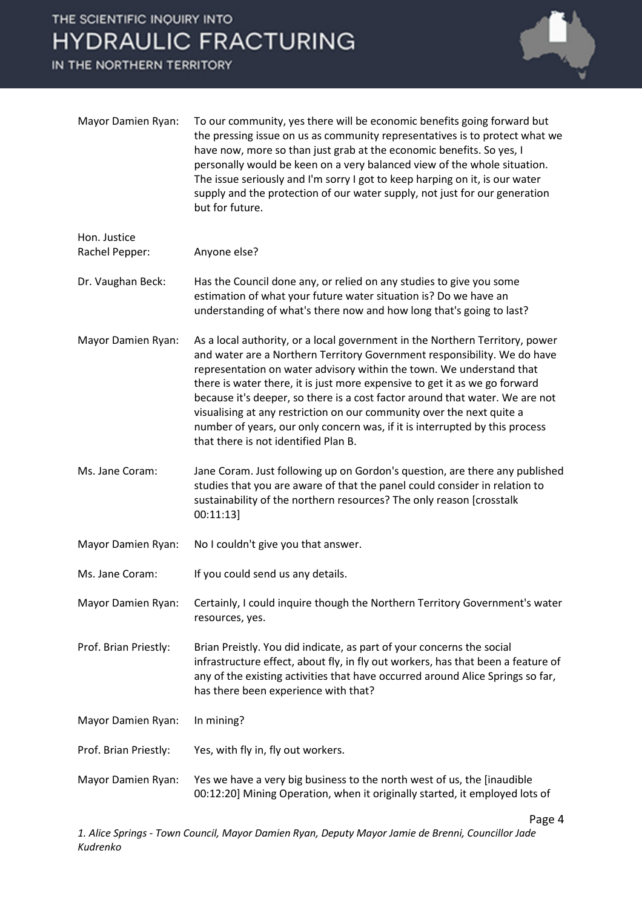## THE SCIENTIFIC INQUIRY INTO **HYDRAULIC FRACTURING**

IN THE NORTHERN TERRITORY



Page 4